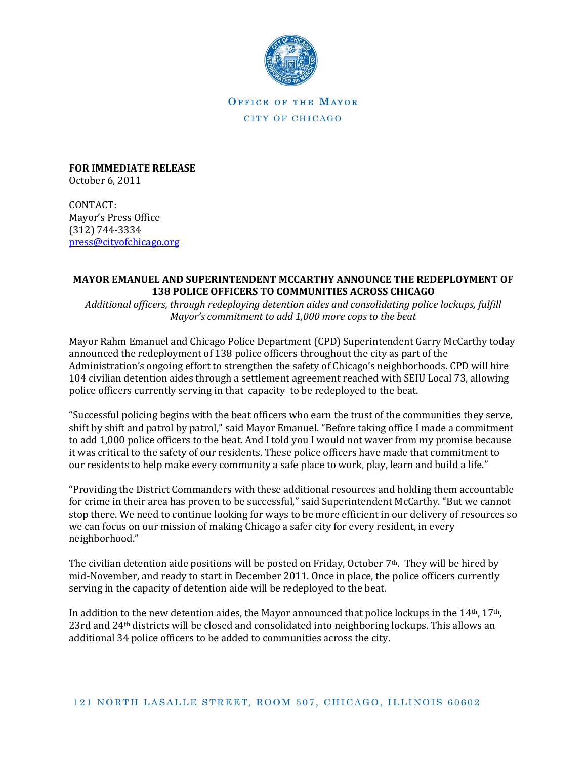

OFFICE OF THE MAYOR CITY OF CHICAGO

**FOR IMMEDIATE RELEASE**  October 6, 2011

CONTACT: Mayor's Press Office (312) 744-3334 [press@cityofchicago.org](https://connect.cityofchicago.org/owa/,DanaInfo=basicauth.cityofchicago.local,SSL+redir.aspx?C=db47f1c095d245cba3b919a14d291bd3&URL=mailto%3apress%40cityofchicago.org)

## **MAYOR EMANUEL AND SUPERINTENDENT MCCARTHY ANNOUNCE THE REDEPLOYMENT OF 138 POLICE OFFICERS TO COMMUNITIES ACROSS CHICAGO**

*Additional officers, through redeploying detention aides and consolidating police lockups, fulfill Mayor's commitment to add 1,000 more cops to the beat* 

Mayor Rahm Emanuel and Chicago Police Department (CPD) Superintendent Garry McCarthy today announced the redeployment of 138 police officers throughout the city as part of the Administration's ongoing effort to strengthen the safety of Chicago's neighborhoods. CPD will hire 104 civilian detention aides through a settlement agreement reached with SEIU Local 73, allowing police officers currently serving in that capacity to be redeployed to the beat.

"Successful policing begins with the beat officers who earn the trust of the communities they serve, shift by shift and patrol by patrol," said Mayor Emanuel. "Before taking office I made a commitment to add 1,000 police officers to the beat. And I told you I would not waver from my promise because it was critical to the safety of our residents. These police officers have made that commitment to our residents to help make every community a safe place to work, play, learn and build a life."

"Providing the District Commanders with these additional resources and holding them accountable for crime in their area has proven to be successful," said Superintendent McCarthy. "But we cannot stop there. We need to continue looking for ways to be more efficient in our delivery of resources so we can focus on our mission of making Chicago a safer city for every resident, in every neighborhood."

The civilian detention aide positions will be posted on Friday, October  $7<sup>th</sup>$ . They will be hired by mid-November, and ready to start in December 2011. Once in place, the police officers currently serving in the capacity of detention aide will be redeployed to the beat.

In addition to the new detention aides, the Mayor announced that police lockups in the  $14<sup>th</sup>$ ,  $17<sup>th</sup>$ , 23rd and 24th districts will be closed and consolidated into neighboring lockups. This allows an additional 34 police officers to be added to communities across the city.